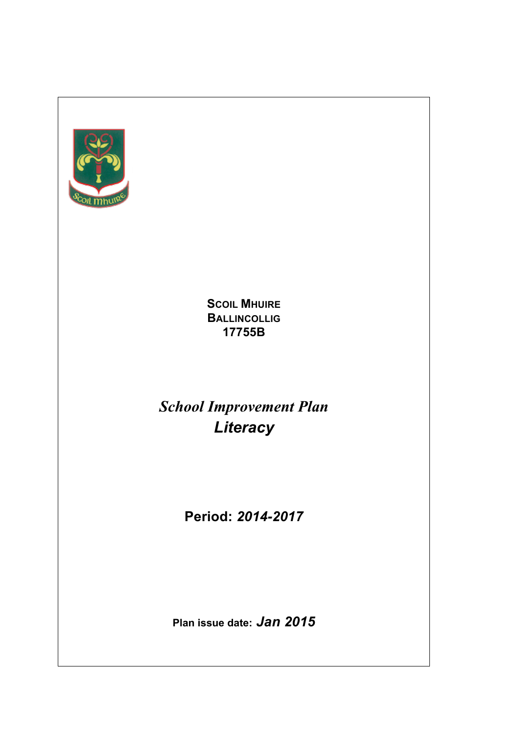

**SCOIL MHUIRE BALLINCOLLIG 17755B**

*School Improvement Plan Literacy*

**Period:** *2014-2017*

**Plan issue date:** *Jan 2015*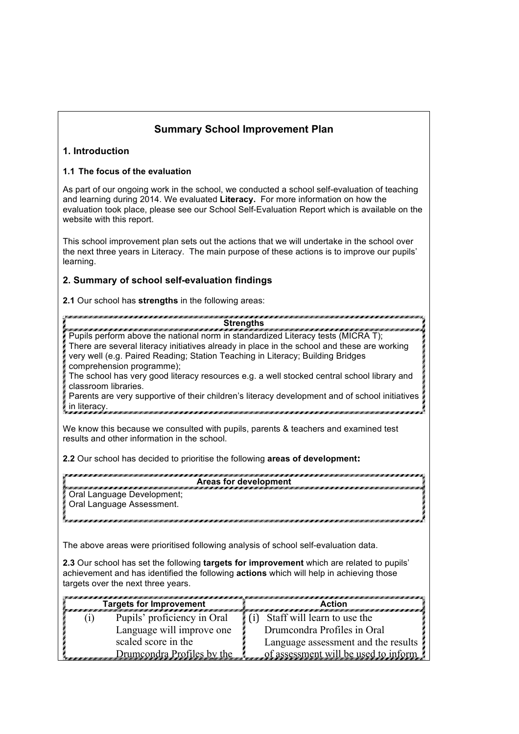## **Summary School Improvement Plan**

## **1. Introduction**

## **1.1 The focus of the evaluation**

As part of our ongoing work in the school, we conducted a school self-evaluation of teaching and learning during 2014. We evaluated **Literacy.** For more information on how the evaluation took place, please see our School Self-Evaluation Report which is available on the website with this report.

This school improvement plan sets out the actions that we will undertake in the school over the next three years in Literacy. The main purpose of these actions is to improve our pupils' learning.

## **2. Summary of school self-evaluation findings**

**2.1** Our school has **strengths** in the following areas:

**Strengths**

Pupils perform above the national norm in standardized Literacy tests (MICRA T); There are several literacy initiatives already in place in the school and these are working very well (e.g. Paired Reading; Station Teaching in Literacy; Building Bridges comprehension programme);

The school has very good literacy resources e.g. a well stocked central school library and classroom libraries.

Parents are very supportive of their children's literacy development and of school initiatives in literacy.

We know this because we consulted with pupils, parents & teachers and examined test results and other information in the school.

**2.2** Our school has decided to prioritise the following **areas of development:**

| Areas for development      |
|----------------------------|
| Oral Language Development; |
| Oral Language Assessment.  |
|                            |

The above areas were prioritised following analysis of school self-evaluation data.

**2.3** Our school has set the following **targets for improvement** which are related to pupils' achievement and has identified the following **actions** which will help in achieving those targets over the next three years.

| <b>Targets for Improvement</b><br>TEN TENETA TENETAK TENGAH KELAH TENGAH KELAH TENGAH DARA PERANJAAN TENGAH KELAH TENGAH KELAH TENGAH KELAH TENG |  |                             | Action<br>a sa an mara an mara sa an mara an mara an mara an mara an mara an mara an mara a |
|--------------------------------------------------------------------------------------------------------------------------------------------------|--|-----------------------------|---------------------------------------------------------------------------------------------|
|                                                                                                                                                  |  | Pupils' proficiency in Oral | (i) Staff will learn to use the                                                             |
|                                                                                                                                                  |  | Language will improve one   | Drumcondra Profiles in Oral                                                                 |
|                                                                                                                                                  |  | scaled score in the         | Language assessment and the results !                                                       |
|                                                                                                                                                  |  | Drumcondra Profiles by the  | of assessment will be used to inform                                                        |